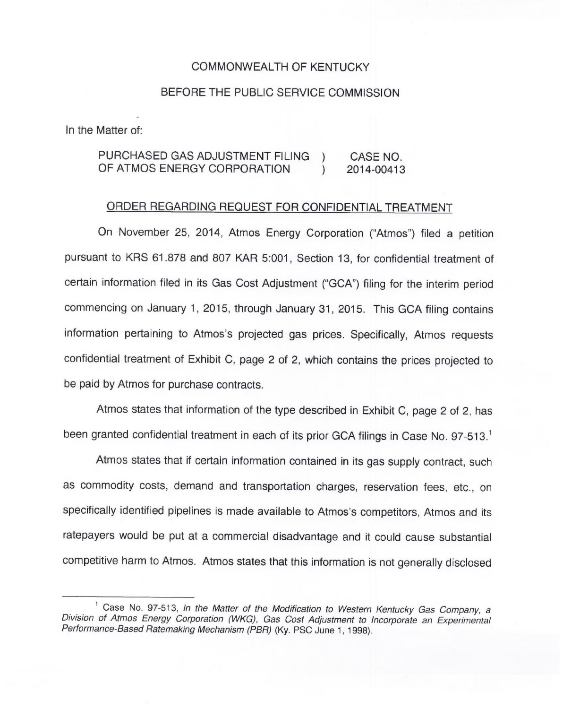## COMMONWEALTH OF KENTUCKY

## BEFORE THE PUBLIC SERVICE COMMISSION

In the Matter of:

## PURCHASED GAS ADJUSTMENT FILING ) CASE NO.<br>OF ATMOS ENERGY CORPORATION ) 2014-00413 OF ATMOS ENERGY CORPORATION

## ORDER REGARDING REQUEST FOR CONFIDENTIAL TREATMENT

On November 25, 2014, Atmos Energy Corporation ("Atmos") filed a petitio pursuant to KRS 61.878 and 807 KAR 5:001, Section 13, for confidential treatment of certain information filed in its Gas Cost Adjustment ("GCA") filing for the interim period commencing on January 1, 2015, through January 31, 2015. This GCA filing contains information pertaining to Atmos's projected gas prices. Specifically, Atmos requests confidential treatment of Exhibit C, page 2 of 2, which contains the prices projected to be paid by Atmos for purchase contracts.

Atmos states that information of the type described in Exhibit C, page 2 of 2, has been granted confidential treatment in each of its prior GCA filings in Case No. 97-513.<sup>1</sup>

Atmos states that if certain information contained in its gas supply contract, such as commodity costs, demand and transportation charges, reservation fees, etc., on specifically identified pipelines is made available to Atmos's competitors, Atmos and its ratepayers would be put at a commercial disadvantage and it could cause substantial competitive harm to Atmos. Atmos states that this information is not generally disclosed

<sup>&</sup>lt;sup>1</sup> Case No. 97-513, In the Matter of the Modification to Western Kentucky Gas Company, a Division of Atmos Energy Corporation (WKG), Gas Cost Adjustment to Incorporate an Experimental Performance-Based Ratemaking Mechanism (PBR) (Ky. PSC June 1, 1998).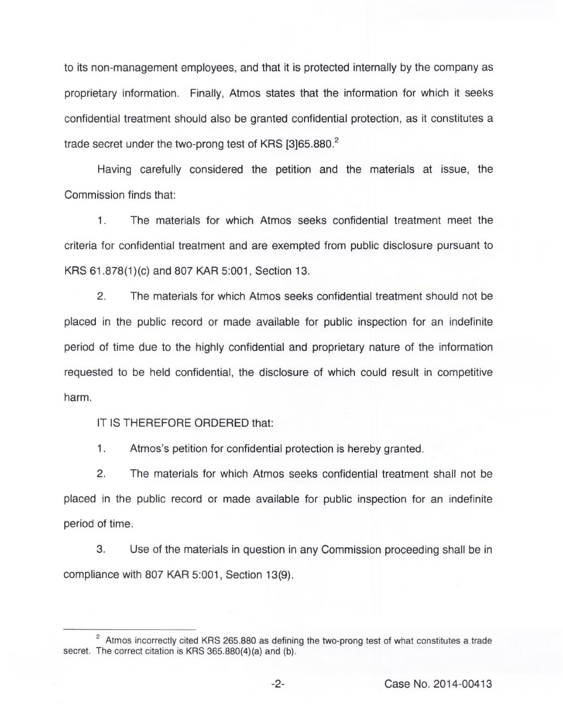to its non-management employees, and that it is protected internally by the company as proprietary information. Finally, Atmos states that the information for which it seeks confidential treatment should also be granted confidential protection, as it constitutes a trade secret under the two-prong test of KRS [3]65.880.<sup>2</sup>

Having carefully considered the petition and the materials at issue, the Commission finds that:

1. The materials for which Atmos seeks confidential treatment meet the criteria for confidential treatment and are exempted from public disclosure pursuant to KRS 61.878(1)(c) and 807 KAR 5:001, Section 13.

2. The materials for which Atmos seeks confidential treatment should not be placed in the public record or made available for public inspection for an indefinite period of time due to the highly confidential and proprietary nature of the information requested to be held confidential, the disclosure of which could result in competitive harm.

IT IS THEREFORE ORDERED that:

1. Atmos's petition for confidential protection is hereby granted.

2. The materials for which Atmos seeks confidential treatment shall not be placed in the public record or made available for public inspection for an indefinite period of time.

3. Use of the materials in question in any Commission proceeding shall be in compliance with 807 KAR 5:001, Section 13(9).

 $2$  Atmos incorrectly cited KRS 265.880 as defining the two-prong test of what constitutes a trade secret. The correct citation is KRS 365.880(4)(a) and (b).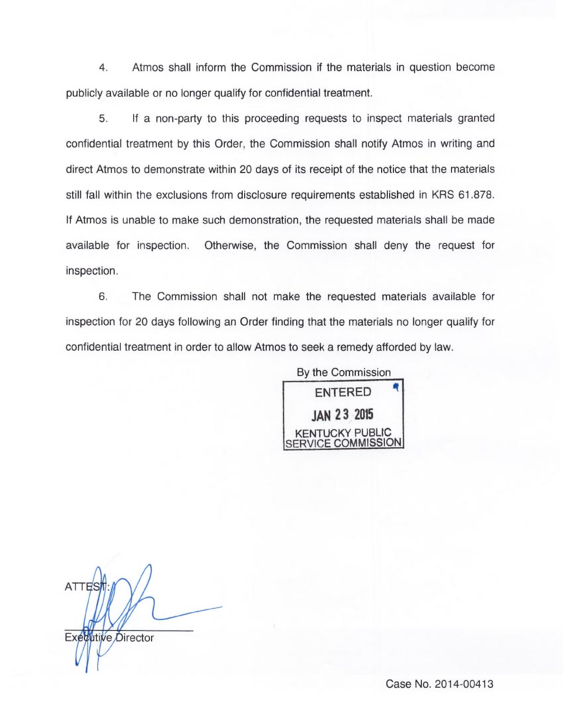4. Atmos shall inform the Commission if the materials in question become publicly available or no longer qualify for confidential treatment.

5. If a non-party to this proceeding requests to inspect materials granted confidential treatment by this Order, the Commission shall notify Atmos in writing and direct Atmos to demonstrate within 20 days of its receipt of the notice that the materials still fall within the exclusions from disclosure requirements established in KRS 61.878. If Atmos is unable to make such demonstration, the requested materials shall be made available for inspection. Otherwise, the Commission shall deny the request for inspection.

6. The Commission shall not make the requested materials available for inspection for 20 days following an Order finding that the materials no longer qualify for confidential treatment in order to allow Atmos to seek a remedy afforded by law.

By the Commission

ENTERED JAN 23 205 KENTUCKY PUBLIC **ICE COMMISSION** 

ATTES Executive Director

Case No. 2014-00413